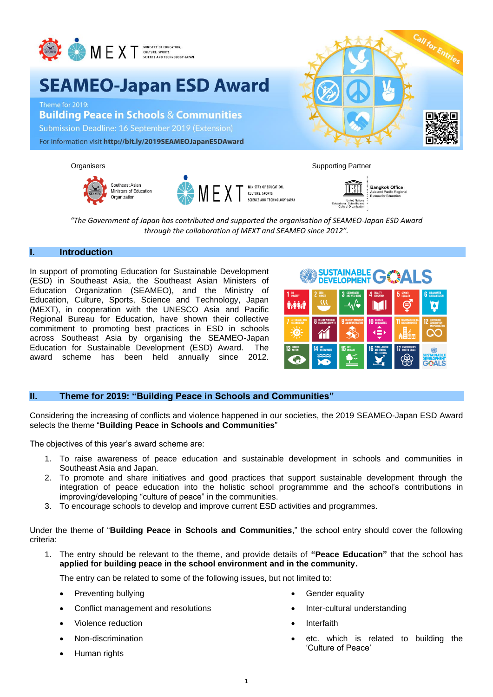

# **SEAMEO-Japan ESD Award**

Theme for 2019: **Building Peace in Schools & Communities** Submission Deadline: 16 September 2019 (Extension) For information visit http://bit.ly/2019SEAMEOJapanESDAward









**Bangkok Office**<br>Asia and Pacific Region

*"The Government of Japan has contributed and supported the organisation of SEAMEO-Japan ESD Award through the collaboration of MEXT and SEAMEO since 2012".*

## **I. Introduction**

In support of promoting Education for Sustainable Development (ESD) in Southeast Asia, the Southeast Asian Ministers of Education Organization (SEAMEO), and the Ministry of Education, Culture, Sports, Science and Technology, Japan (MEXT), in cooperation with the UNESCO Asia and Pacific Regional Bureau for Education, have shown their collective commitment to promoting best practices in ESD in schools across Southeast Asia by organising the SEAMEO-Japan Education for Sustainable Development (ESD) Award. The award scheme has been held annually since 2012.



# **II. Theme for 2019: "Building Peace in Schools and Communities"**

Considering the increasing of conflicts and violence happened in our societies, the 2019 SEAMEO-Japan ESD Award selects the theme "**Building Peace in Schools and Communities**"

The objectives of this year's award scheme are:

- 1. To raise awareness of peace education and sustainable development in schools and communities in Southeast Asia and Japan.
- 2. To promote and share initiatives and good practices that support sustainable development through the integration of peace education into the holistic school programmme and the school's contributions in improving/developing "culture of peace" in the communities.
- 3. To encourage schools to develop and improve current ESD activities and programmes.

Under the theme of "**Building Peace in Schools and Communities**," the school entry should cover the following criteria:

1. The entry should be relevant to the theme, and provide details of **"Peace Education"** that the school has **applied for building peace in the school environment and in the community.** 

The entry can be related to some of the following issues, but not limited to:

- Preventing bullying
- Conflict management and resolutions
- Violence reduction
- Non-discrimination
- Human rights
- Gender equality
- Inter-cultural understanding
- **Interfaith**
- etc. which is related to building the 'Culture of Peace'